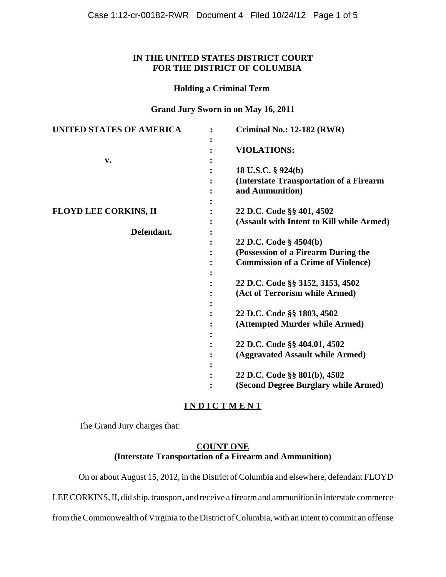### **IN THE UNITED STATES DISTRICT COURT FOR THE DISTRICT OF COLUMBIA**

#### **Holding a Criminal Term**

#### **Grand Jury Sworn in on May 16, 2011**

| <b>UNITED STATES OF AMERICA</b> | <b>Criminal No.: 12-182 (RWR)</b>          |
|---------------------------------|--------------------------------------------|
|                                 | <b>VIOLATIONS:</b>                         |
| $\mathbf{v}$ .                  |                                            |
|                                 | 18 U.S.C. § 924(b)                         |
|                                 | (Interstate Transportation of a Firearm    |
|                                 | and Ammunition)                            |
|                                 |                                            |
| <b>FLOYD LEE CORKINS, II</b>    | 22 D.C. Code §§ 401, 4502                  |
|                                 | (Assault with Intent to Kill while Armed)  |
| Defendant.                      |                                            |
|                                 | 22 D.C. Code § 4504(b)                     |
|                                 | (Possession of a Firearm During the        |
|                                 |                                            |
|                                 | <b>Commission of a Crime of Violence</b> ) |
|                                 |                                            |
|                                 | 22 D.C. Code §§ 3152, 3153, 4502           |
|                                 | (Act of Terrorism while Armed)             |
|                                 |                                            |
|                                 | 22 D.C. Code §§ 1803, 4502                 |
|                                 | (Attempted Murder while Armed)             |
|                                 |                                            |
|                                 | 22 D.C. Code §§ 404.01, 4502               |
|                                 | (Aggravated Assault while Armed)           |
|                                 |                                            |
|                                 | 22 D.C. Code §§ 801(b), 4502               |
|                                 | (Second Degree Burglary while Armed)       |

# **I N D I C T M E N T**

The Grand Jury charges that:

## **COUNT ONE (Interstate Transportation of a Firearm and Ammunition)**

On or about August 15, 2012, in the District of Columbia and elsewhere, defendant FLOYD

LEE CORKINS, II, did ship, transport, and receive a firearm and ammunition in interstate commerce

from the Commonwealth of Virginia to the District of Columbia, with an intent to commit an offense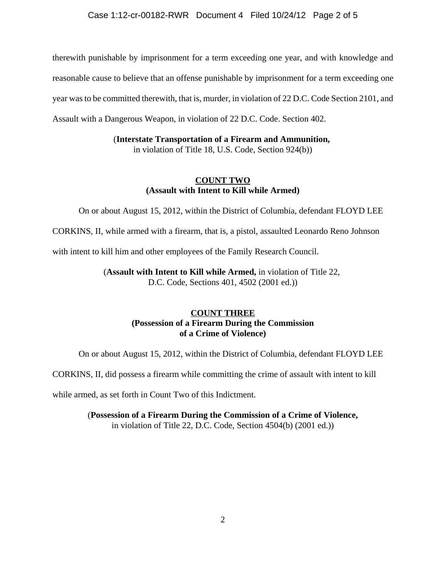#### Case 1:12-cr-00182-RWR Document 4 Filed 10/24/12 Page 2 of 5

therewith punishable by imprisonment for a term exceeding one year, and with knowledge and reasonable cause to believe that an offense punishable by imprisonment for a term exceeding one year was to be committed therewith, that is, murder, in violation of 22 D.C. Code Section 2101, and Assault with a Dangerous Weapon, in violation of 22 D.C. Code. Section 402.

(**Interstate Transportation of a Firearm and Ammunition,**

in violation of Title 18, U.S. Code, Section 924(b))

### **COUNT TWO (Assault with Intent to Kill while Armed)**

On or about August 15, 2012, within the District of Columbia, defendant FLOYD LEE

CORKINS, II, while armed with a firearm, that is, a pistol, assaulted Leonardo Reno Johnson

with intent to kill him and other employees of the Family Research Council.

(**Assault with Intent to Kill while Armed,** in violation of Title 22, D.C. Code, Sections 401, 4502 (2001 ed.))

## **COUNT THREE (Possession of a Firearm During the Commission of a Crime of Violence)**

On or about August 15, 2012, within the District of Columbia, defendant FLOYD LEE

CORKINS, II, did possess a firearm while committing the crime of assault with intent to kill

while armed, as set forth in Count Two of this Indictment.

(**Possession of a Firearm During the Commission of a Crime of Violence,** in violation of Title 22, D.C. Code, Section 4504(b) (2001 ed.))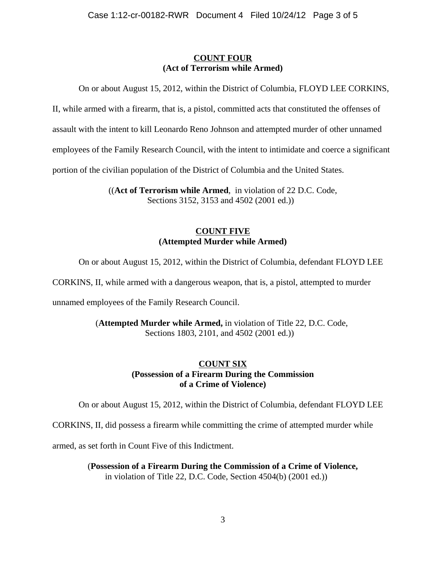### **COUNT FOUR (Act of Terrorism while Armed)**

On or about August 15, 2012, within the District of Columbia, FLOYD LEE CORKINS,

II, while armed with a firearm, that is, a pistol, committed acts that constituted the offenses of

assault with the intent to kill Leonardo Reno Johnson and attempted murder of other unnamed

employees of the Family Research Council, with the intent to intimidate and coerce a significant

portion of the civilian population of the District of Columbia and the United States.

 ((**Act of Terrorism while Armed**, in violation of 22 D.C. Code, Sections 3152, 3153 and 4502 (2001 ed.))

### **COUNT FIVE (Attempted Murder while Armed)**

On or about August 15, 2012, within the District of Columbia, defendant FLOYD LEE

CORKINS, II, while armed with a dangerous weapon, that is, a pistol, attempted to murder

unnamed employees of the Family Research Council.

(**Attempted Murder while Armed,** in violation of Title 22, D.C. Code, Sections 1803, 2101, and 4502 (2001 ed.))

## **COUNT SIX (Possession of a Firearm During the Commission of a Crime of Violence)**

On or about August 15, 2012, within the District of Columbia, defendant FLOYD LEE

CORKINS, II, did possess a firearm while committing the crime of attempted murder while

armed, as set forth in Count Five of this Indictment.

(**Possession of a Firearm During the Commission of a Crime of Violence,** in violation of Title 22, D.C. Code, Section 4504(b) (2001 ed.))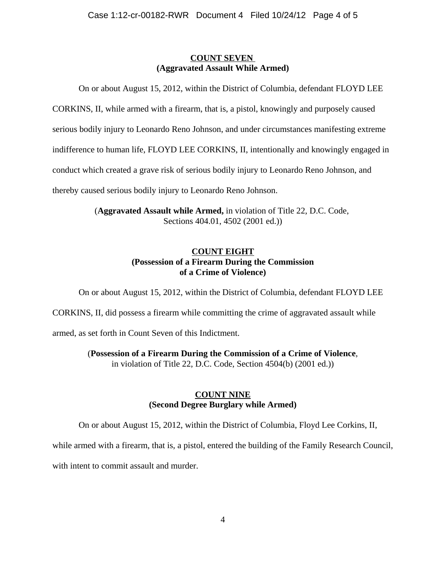### **COUNT SEVEN (Aggravated Assault While Armed)**

On or about August 15, 2012, within the District of Columbia, defendant FLOYD LEE

CORKINS, II, while armed with a firearm, that is, a pistol, knowingly and purposely caused

serious bodily injury to Leonardo Reno Johnson, and under circumstances manifesting extreme

indifference to human life, FLOYD LEE CORKINS, II, intentionally and knowingly engaged in

conduct which created a grave risk of serious bodily injury to Leonardo Reno Johnson, and

thereby caused serious bodily injury to Leonardo Reno Johnson.

(**Aggravated Assault while Armed,** in violation of Title 22, D.C. Code, Sections 404.01, 4502 (2001 ed.))

## **COUNT EIGHT (Possession of a Firearm During the Commission of a Crime of Violence)**

On or about August 15, 2012, within the District of Columbia, defendant FLOYD LEE

CORKINS, II, did possess a firearm while committing the crime of aggravated assault while

armed, as set forth in Count Seven of this Indictment.

(**Possession of a Firearm During the Commission of a Crime of Violence**,

in violation of Title 22, D.C. Code, Section 4504(b) (2001 ed.))

## **COUNT NINE (Second Degree Burglary while Armed)**

On or about August 15, 2012, within the District of Columbia, Floyd Lee Corkins, II,

while armed with a firearm, that is, a pistol, entered the building of the Family Research Council,

with intent to commit assault and murder.